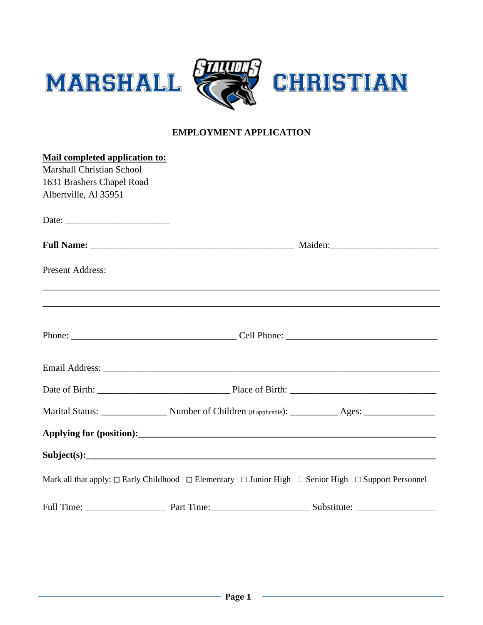

## **EMPLOYMENT APPLICATION**

| Mail completed application to:   |                                                                                                                              |
|----------------------------------|------------------------------------------------------------------------------------------------------------------------------|
| <b>Marshall Christian School</b> |                                                                                                                              |
| 1631 Brashers Chapel Road        |                                                                                                                              |
| Albertville, Al 35951            |                                                                                                                              |
|                                  |                                                                                                                              |
|                                  |                                                                                                                              |
| <b>Present Address:</b>          |                                                                                                                              |
|                                  |                                                                                                                              |
|                                  |                                                                                                                              |
|                                  |                                                                                                                              |
|                                  |                                                                                                                              |
|                                  |                                                                                                                              |
|                                  |                                                                                                                              |
|                                  |                                                                                                                              |
|                                  |                                                                                                                              |
|                                  | Mark all that apply: $\Box$ Early Childhood $\Box$ Elementary $\Box$ Junior High $\Box$ Senior High $\Box$ Support Personnel |
|                                  |                                                                                                                              |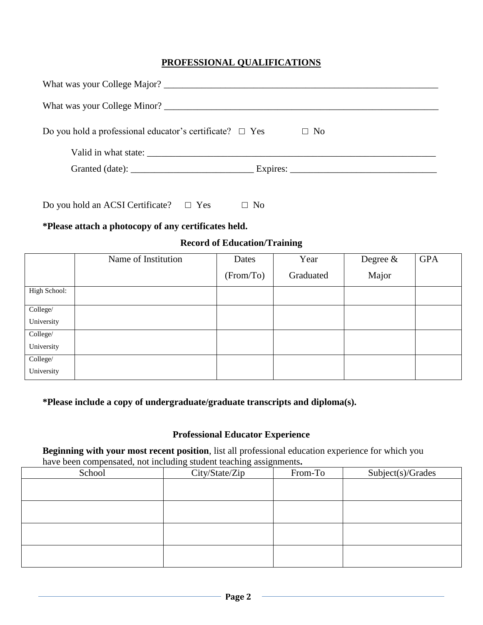## **PROFESSIONAL QUALIFICATIONS**

| Do you hold a professional educator's certificate? $\Box$ Yes<br>$\Box$ No |
|----------------------------------------------------------------------------|
|                                                                            |
|                                                                            |
|                                                                            |

Do you hold an ACSI Certificate?  $□$  Yes  $□$  No

### **\*Please attach a photocopy of any certificates held.**

### **Record of Education/Training**

|              | Name of Institution | Dates     | Year      | Degree $\&$ | <b>GPA</b> |
|--------------|---------------------|-----------|-----------|-------------|------------|
|              |                     | (From/To) | Graduated | Major       |            |
| High School: |                     |           |           |             |            |
| College/     |                     |           |           |             |            |
| University   |                     |           |           |             |            |
| College/     |                     |           |           |             |            |
| University   |                     |           |           |             |            |
| College/     |                     |           |           |             |            |
| University   |                     |           |           |             |            |

### **\*Please include a copy of undergraduate/graduate transcripts and diploma(s).**

#### **Professional Educator Experience**

**Beginning with your most recent position**, list all professional education experience for which you have been compensated, not including student teaching assignments**.**

| $\mathbf{r}$<br>$\sim$<br>School | ັ<br>ັ<br>ັ<br>City/State/Zip | From-To | Subject(s)/Grades |
|----------------------------------|-------------------------------|---------|-------------------|
|                                  |                               |         |                   |
|                                  |                               |         |                   |
|                                  |                               |         |                   |
|                                  |                               |         |                   |
|                                  |                               |         |                   |
|                                  |                               |         |                   |
|                                  |                               |         |                   |
|                                  |                               |         |                   |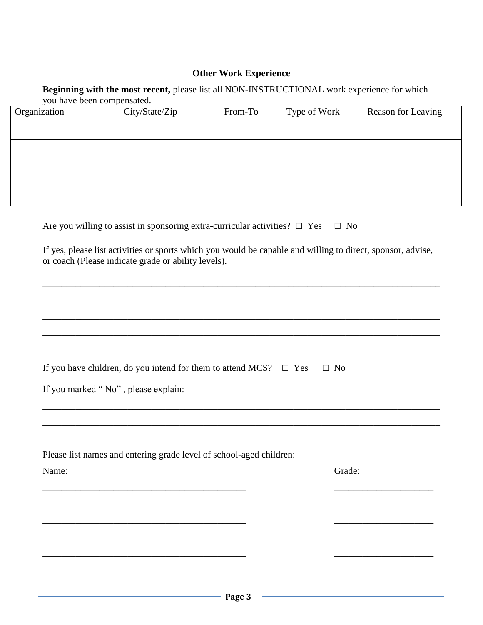#### **Other Work Experience**

#### **Beginning with the most recent,** please list all NON-INSTRUCTIONAL work experience for which you have been compensated.

| Organization | City/State/Zip | From-To | Type of Work | Reason for Leaving |
|--------------|----------------|---------|--------------|--------------------|
|              |                |         |              |                    |
|              |                |         |              |                    |
|              |                |         |              |                    |
|              |                |         |              |                    |
|              |                |         |              |                    |
|              |                |         |              |                    |
|              |                |         |              |                    |
|              |                |         |              |                    |

|  | Are you willing to assist in sponsoring extra-curricular activities? $\Box$ Yes $\Box$ No |  |  |  |
|--|-------------------------------------------------------------------------------------------|--|--|--|
|--|-------------------------------------------------------------------------------------------|--|--|--|

If yes, please list activities or sports which you would be capable and willing to direct, sponsor, advise, or coach (Please indicate grade or ability levels).

\_\_\_\_\_\_\_\_\_\_\_\_\_\_\_\_\_\_\_\_\_\_\_\_\_\_\_\_\_\_\_\_\_\_\_\_\_\_\_\_\_\_\_\_\_\_\_\_\_\_\_\_\_\_\_\_\_\_\_\_\_\_\_\_\_\_\_\_\_\_\_\_\_\_\_\_\_\_\_\_\_\_\_\_

\_\_\_\_\_\_\_\_\_\_\_\_\_\_\_\_\_\_\_\_\_\_\_\_\_\_\_\_\_\_\_\_\_\_\_\_\_\_\_\_\_\_\_\_\_\_\_\_\_\_\_\_\_\_\_\_\_\_\_\_\_\_\_\_\_\_\_\_\_\_\_\_\_\_\_\_\_\_\_\_\_\_\_\_

\_\_\_\_\_\_\_\_\_\_\_\_\_\_\_\_\_\_\_\_\_\_\_\_\_\_\_\_\_\_\_\_\_\_\_\_\_\_\_\_\_\_\_\_\_\_\_\_\_\_\_\_\_\_\_\_\_\_\_\_\_\_\_\_\_\_\_\_\_\_\_\_\_\_\_\_\_\_\_\_\_\_\_\_

\_\_\_\_\_\_\_\_\_\_\_\_\_\_\_\_\_\_\_\_\_\_\_\_\_\_\_\_\_\_\_\_\_\_\_\_\_\_\_\_\_\_\_\_\_\_\_\_\_\_\_\_\_\_\_\_\_\_\_\_\_\_\_\_\_\_\_\_\_\_\_\_\_\_\_\_\_\_\_\_\_\_\_\_

\_\_\_\_\_\_\_\_\_\_\_\_\_\_\_\_\_\_\_\_\_\_\_\_\_\_\_\_\_\_\_\_\_\_\_\_\_\_\_\_\_\_\_\_\_\_\_\_\_\_\_\_\_\_\_\_\_\_\_\_\_\_\_\_\_\_\_\_\_\_\_\_\_\_\_\_\_\_\_\_\_\_\_\_

\_\_\_\_\_\_\_\_\_\_\_\_\_\_\_\_\_\_\_\_\_\_\_\_\_\_\_\_\_\_\_\_\_\_\_\_\_\_\_\_\_\_\_\_\_\_\_\_\_\_\_\_\_\_\_\_\_\_\_\_\_\_\_\_\_\_\_\_\_\_\_\_\_\_\_\_\_\_\_\_\_\_\_\_

If you marked "No", please explain:

| Please list names and entering grade level of school-aged children: |        |
|---------------------------------------------------------------------|--------|
| Name:                                                               | Grade: |
|                                                                     |        |
|                                                                     |        |
|                                                                     |        |
|                                                                     |        |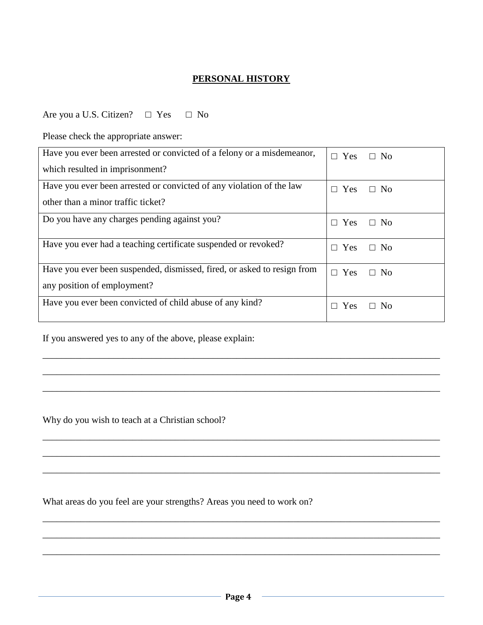### **PERSONAL HISTORY**

Are you a U.S. Citizen?  $□$  Yes  $□$  No

Please check the appropriate answer:

| Have you ever been arrested or convicted of a felony or a misdemeanor,                                 | $\Box$ Yes      | $\Box$ No |
|--------------------------------------------------------------------------------------------------------|-----------------|-----------|
| which resulted in imprisonment?                                                                        |                 |           |
| Have you ever been arrested or convicted of any violation of the law                                   | $\Box$ Yes      | $\Box$ No |
| other than a minor traffic ticket?                                                                     |                 |           |
| Do you have any charges pending against you?                                                           | $\Box$ Yes      | $\Box$ No |
| Have you ever had a teaching certificate suspended or revoked?                                         | $\Box$ Yes      | $\Box$ No |
| Have you ever been suspended, dismissed, fired, or asked to resign from<br>any position of employment? | $\Box$ Yes      | $\Box$ No |
| Have you ever been convicted of child abuse of any kind?                                               |                 |           |
|                                                                                                        | <b>Yes</b><br>П | $\Box$ No |

\_\_\_\_\_\_\_\_\_\_\_\_\_\_\_\_\_\_\_\_\_\_\_\_\_\_\_\_\_\_\_\_\_\_\_\_\_\_\_\_\_\_\_\_\_\_\_\_\_\_\_\_\_\_\_\_\_\_\_\_\_\_\_\_\_\_\_\_\_\_\_\_\_\_\_\_\_\_\_\_\_\_\_\_

\_\_\_\_\_\_\_\_\_\_\_\_\_\_\_\_\_\_\_\_\_\_\_\_\_\_\_\_\_\_\_\_\_\_\_\_\_\_\_\_\_\_\_\_\_\_\_\_\_\_\_\_\_\_\_\_\_\_\_\_\_\_\_\_\_\_\_\_\_\_\_\_\_\_\_\_\_\_\_\_\_\_\_\_

\_\_\_\_\_\_\_\_\_\_\_\_\_\_\_\_\_\_\_\_\_\_\_\_\_\_\_\_\_\_\_\_\_\_\_\_\_\_\_\_\_\_\_\_\_\_\_\_\_\_\_\_\_\_\_\_\_\_\_\_\_\_\_\_\_\_\_\_\_\_\_\_\_\_\_\_\_\_\_\_\_\_\_\_

\_\_\_\_\_\_\_\_\_\_\_\_\_\_\_\_\_\_\_\_\_\_\_\_\_\_\_\_\_\_\_\_\_\_\_\_\_\_\_\_\_\_\_\_\_\_\_\_\_\_\_\_\_\_\_\_\_\_\_\_\_\_\_\_\_\_\_\_\_\_\_\_\_\_\_\_\_\_\_\_\_\_\_\_

\_\_\_\_\_\_\_\_\_\_\_\_\_\_\_\_\_\_\_\_\_\_\_\_\_\_\_\_\_\_\_\_\_\_\_\_\_\_\_\_\_\_\_\_\_\_\_\_\_\_\_\_\_\_\_\_\_\_\_\_\_\_\_\_\_\_\_\_\_\_\_\_\_\_\_\_\_\_\_\_\_\_\_\_

\_\_\_\_\_\_\_\_\_\_\_\_\_\_\_\_\_\_\_\_\_\_\_\_\_\_\_\_\_\_\_\_\_\_\_\_\_\_\_\_\_\_\_\_\_\_\_\_\_\_\_\_\_\_\_\_\_\_\_\_\_\_\_\_\_\_\_\_\_\_\_\_\_\_\_\_\_\_\_\_\_\_\_\_

\_\_\_\_\_\_\_\_\_\_\_\_\_\_\_\_\_\_\_\_\_\_\_\_\_\_\_\_\_\_\_\_\_\_\_\_\_\_\_\_\_\_\_\_\_\_\_\_\_\_\_\_\_\_\_\_\_\_\_\_\_\_\_\_\_\_\_\_\_\_\_\_\_\_\_\_\_\_\_\_\_\_\_\_

\_\_\_\_\_\_\_\_\_\_\_\_\_\_\_\_\_\_\_\_\_\_\_\_\_\_\_\_\_\_\_\_\_\_\_\_\_\_\_\_\_\_\_\_\_\_\_\_\_\_\_\_\_\_\_\_\_\_\_\_\_\_\_\_\_\_\_\_\_\_\_\_\_\_\_\_\_\_\_\_\_\_\_\_

\_\_\_\_\_\_\_\_\_\_\_\_\_\_\_\_\_\_\_\_\_\_\_\_\_\_\_\_\_\_\_\_\_\_\_\_\_\_\_\_\_\_\_\_\_\_\_\_\_\_\_\_\_\_\_\_\_\_\_\_\_\_\_\_\_\_\_\_\_\_\_\_\_\_\_\_\_\_\_\_\_\_\_\_

If you answered yes to any of the above, please explain:

Why do you wish to teach at a Christian school?

What areas do you feel are your strengths? Areas you need to work on?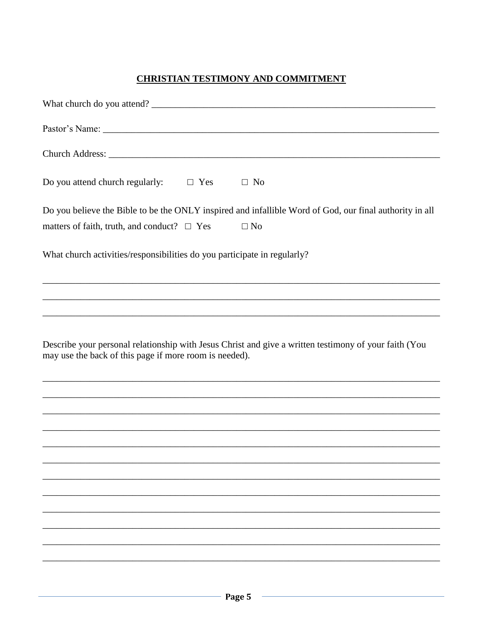## **CHRISTIAN TESTIMONY AND COMMITMENT**

| Do you attend church regularly: $\square$ Yes<br>$\Box$ No                                                                                                               |
|--------------------------------------------------------------------------------------------------------------------------------------------------------------------------|
| Do you believe the Bible to be the ONLY inspired and infallible Word of God, our final authority in all<br>matters of faith, truth, and conduct? $\Box$ Yes<br>$\Box$ No |
| What church activities/responsibilities do you participate in regularly?                                                                                                 |
|                                                                                                                                                                          |
|                                                                                                                                                                          |
| Describe your personal relationship with Jesus Christ and give a written testimony of your faith (You<br>may use the back of this page if more room is needed).          |
| <u> 1999 - Jan Barbara, Amerikaansk politiker (d. 1989)</u>                                                                                                              |
|                                                                                                                                                                          |
|                                                                                                                                                                          |
|                                                                                                                                                                          |
|                                                                                                                                                                          |
|                                                                                                                                                                          |
|                                                                                                                                                                          |
|                                                                                                                                                                          |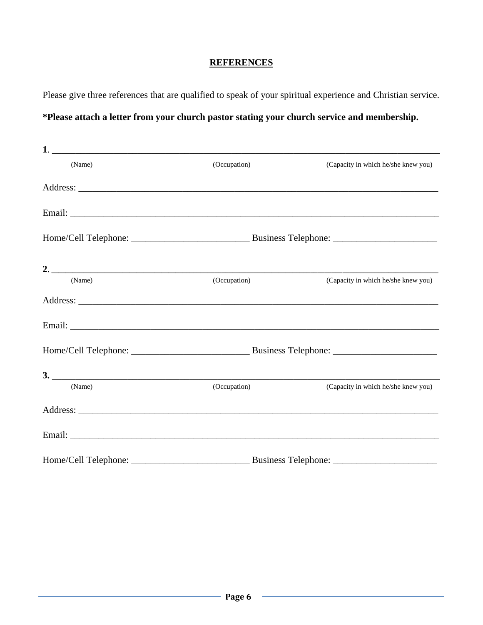## **REFERENCES**

Please give three references that are qualified to speak of your spiritual experience and Christian service.

# **\*Please attach a letter from your church pastor stating your church service and membership.**

| (Name) | (Occupation) | (Capacity in which he/she knew you) |
|--------|--------------|-------------------------------------|
|        |              |                                     |
|        |              |                                     |
|        |              |                                     |
|        |              |                                     |
| (Name) | (Occupation) | (Capacity in which he/she knew you) |
|        |              |                                     |
|        |              |                                     |
|        |              |                                     |
| 3.     |              |                                     |
| (Name) | (Occupation) | (Capacity in which he/she knew you) |
|        |              |                                     |
|        |              |                                     |
|        |              |                                     |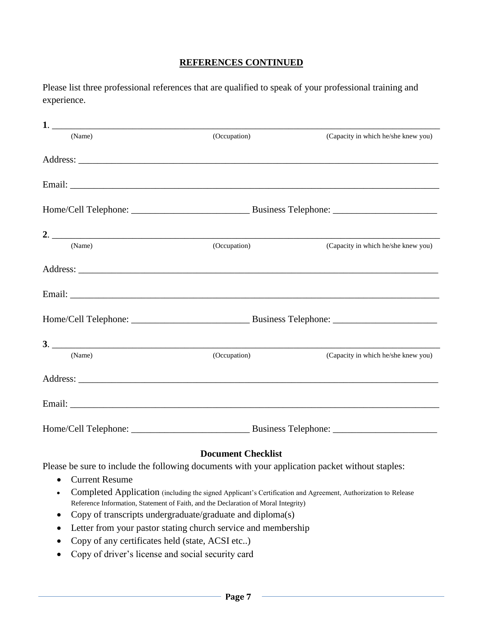### **REFERENCES CONTINUED**

Please list three professional references that are qualified to speak of your professional training and experience.

| 1.                                                                                                                                                                                                                             |                           |                                                                                                                                                                                                                                |  |
|--------------------------------------------------------------------------------------------------------------------------------------------------------------------------------------------------------------------------------|---------------------------|--------------------------------------------------------------------------------------------------------------------------------------------------------------------------------------------------------------------------------|--|
| (Name)                                                                                                                                                                                                                         | (Occupation)              | (Capacity in which he/she knew you)                                                                                                                                                                                            |  |
|                                                                                                                                                                                                                                |                           |                                                                                                                                                                                                                                |  |
|                                                                                                                                                                                                                                |                           |                                                                                                                                                                                                                                |  |
|                                                                                                                                                                                                                                |                           |                                                                                                                                                                                                                                |  |
| 2. $\overline{\phantom{a}}$                                                                                                                                                                                                    |                           |                                                                                                                                                                                                                                |  |
| (Name)                                                                                                                                                                                                                         | (Occupation)              | (Capacity in which he/she knew you)                                                                                                                                                                                            |  |
|                                                                                                                                                                                                                                |                           |                                                                                                                                                                                                                                |  |
|                                                                                                                                                                                                                                |                           |                                                                                                                                                                                                                                |  |
|                                                                                                                                                                                                                                |                           |                                                                                                                                                                                                                                |  |
| 3.                                                                                                                                                                                                                             |                           |                                                                                                                                                                                                                                |  |
| (Name)                                                                                                                                                                                                                         | (Occupation)              | (Capacity in which he/she knew you)                                                                                                                                                                                            |  |
|                                                                                                                                                                                                                                |                           | Address: Note and the set of the set of the set of the set of the set of the set of the set of the set of the set of the set of the set of the set of the set of the set of the set of the set of the set of the set of the se |  |
| Email: Email: Email: Email: Email: Email: Email: Email: Email: Email: Email: Email: Email: Email: Email: Email: Email: Email: Email: Email: Email: Email: Email: Email: Email: Email: Email: Email: Email: Email: Email: Email |                           |                                                                                                                                                                                                                                |  |
|                                                                                                                                                                                                                                |                           |                                                                                                                                                                                                                                |  |
|                                                                                                                                                                                                                                | <b>Document Checklist</b> |                                                                                                                                                                                                                                |  |
| Please be sure to include the following documents with your application packet without staples:                                                                                                                                |                           |                                                                                                                                                                                                                                |  |

- Current Resume
- Completed Application (including the signed Applicant's Certification and Agreement, Authorization to Release Reference Information, Statement of Faith, and the Declaration of Moral Integrity)
- Copy of transcripts undergraduate/graduate and diploma(s)
- Letter from your pastor stating church service and membership
- Copy of any certificates held (state, ACSI etc..)
- Copy of driver's license and social security card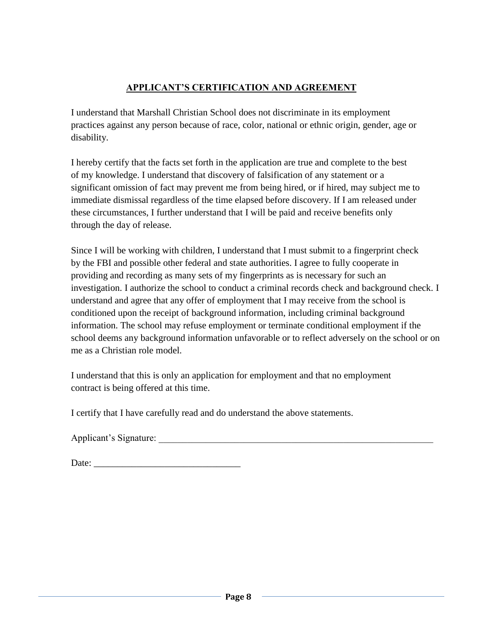# **APPLICANT'S CERTIFICATION AND AGREEMENT**

I understand that Marshall Christian School does not discriminate in its employment practices against any person because of race, color, national or ethnic origin, gender, age or disability.

I hereby certify that the facts set forth in the application are true and complete to the best of my knowledge. I understand that discovery of falsification of any statement or a significant omission of fact may prevent me from being hired, or if hired, may subject me to immediate dismissal regardless of the time elapsed before discovery. If I am released under these circumstances, I further understand that I will be paid and receive benefits only through the day of release.

Since I will be working with children, I understand that I must submit to a fingerprint check by the FBI and possible other federal and state authorities. I agree to fully cooperate in providing and recording as many sets of my fingerprints as is necessary for such an investigation. I authorize the school to conduct a criminal records check and background check. I understand and agree that any offer of employment that I may receive from the school is conditioned upon the receipt of background information, including criminal background information. The school may refuse employment or terminate conditional employment if the school deems any background information unfavorable or to reflect adversely on the school or on me as a Christian role model.

I understand that this is only an application for employment and that no employment contract is being offered at this time.

I certify that I have carefully read and do understand the above statements.

Applicant's Signature:

| Date: |  |
|-------|--|
|       |  |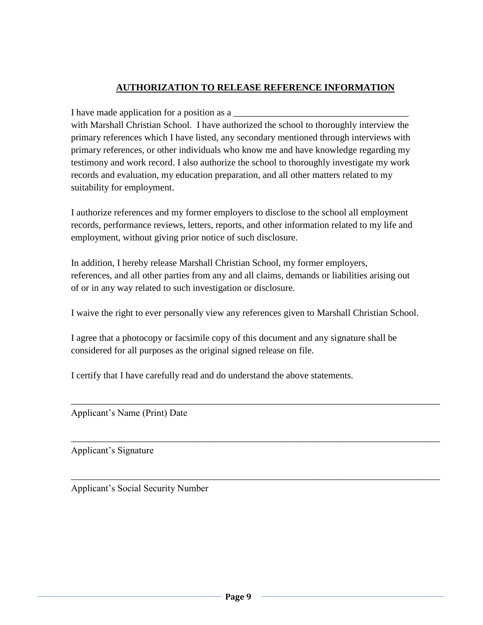# **AUTHORIZATION TO RELEASE REFERENCE INFORMATION**

I have made application for a position as a

with Marshall Christian School. I have authorized the school to thoroughly interview the primary references which I have listed, any secondary mentioned through interviews with primary references, or other individuals who know me and have knowledge regarding my testimony and work record. I also authorize the school to thoroughly investigate my work records and evaluation, my education preparation, and all other matters related to my suitability for employment.

I authorize references and my former employers to disclose to the school all employment records, performance reviews, letters, reports, and other information related to my life and employment, without giving prior notice of such disclosure.

In addition, I hereby release Marshall Christian School, my former employers, references, and all other parties from any and all claims, demands or liabilities arising out of or in any way related to such investigation or disclosure.

I waive the right to ever personally view any references given to Marshall Christian School.

\_\_\_\_\_\_\_\_\_\_\_\_\_\_\_\_\_\_\_\_\_\_\_\_\_\_\_\_\_\_\_\_\_\_\_\_\_\_\_\_\_\_\_\_\_\_\_\_\_\_\_\_\_\_\_\_\_\_\_\_\_\_\_\_\_\_\_\_\_\_\_\_\_\_\_\_\_\_

\_\_\_\_\_\_\_\_\_\_\_\_\_\_\_\_\_\_\_\_\_\_\_\_\_\_\_\_\_\_\_\_\_\_\_\_\_\_\_\_\_\_\_\_\_\_\_\_\_\_\_\_\_\_\_\_\_\_\_\_\_\_\_\_\_\_\_\_\_\_\_\_\_\_\_\_\_\_

\_\_\_\_\_\_\_\_\_\_\_\_\_\_\_\_\_\_\_\_\_\_\_\_\_\_\_\_\_\_\_\_\_\_\_\_\_\_\_\_\_\_\_\_\_\_\_\_\_\_\_\_\_\_\_\_\_\_\_\_\_\_\_\_\_\_\_\_\_\_\_\_\_\_\_\_\_\_

I agree that a photocopy or facsimile copy of this document and any signature shall be considered for all purposes as the original signed release on file.

I certify that I have carefully read and do understand the above statements.

Applicant's Name (Print) Date

Applicant's Signature

Applicant's Social Security Number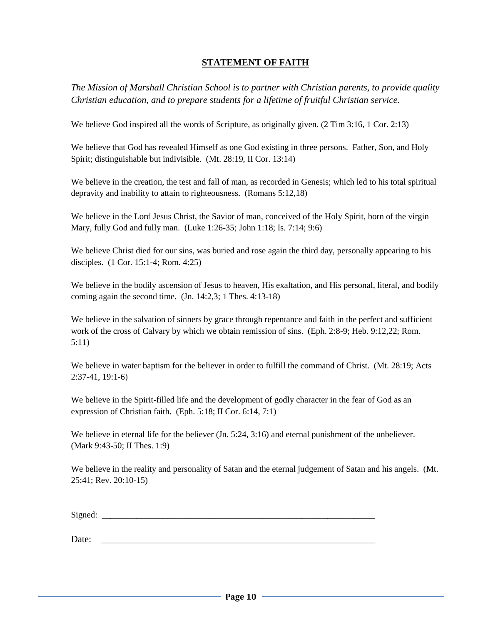### **STATEMENT OF FAITH**

*The Mission of Marshall Christian School is to partner with Christian parents, to provide quality Christian education, and to prepare students for a lifetime of fruitful Christian service.*

We believe God inspired all the words of Scripture, as originally given. (2 Tim 3:16, 1 Cor. 2:13)

We believe that God has revealed Himself as one God existing in three persons. Father, Son, and Holy Spirit; distinguishable but indivisible. (Mt. 28:19, II Cor. 13:14)

We believe in the creation, the test and fall of man, as recorded in Genesis; which led to his total spiritual depravity and inability to attain to righteousness. (Romans 5:12,18)

We believe in the Lord Jesus Christ, the Savior of man, conceived of the Holy Spirit, born of the virgin Mary, fully God and fully man. (Luke 1:26-35; John 1:18; Is. 7:14; 9:6)

We believe Christ died for our sins, was buried and rose again the third day, personally appearing to his disciples. (1 Cor. 15:1-4; Rom. 4:25)

We believe in the bodily ascension of Jesus to heaven, His exaltation, and His personal, literal, and bodily coming again the second time. (Jn. 14:2,3; 1 Thes. 4:13-18)

We believe in the salvation of sinners by grace through repentance and faith in the perfect and sufficient work of the cross of Calvary by which we obtain remission of sins. (Eph. 2:8-9; Heb. 9:12,22; Rom. 5:11)

We believe in water baptism for the believer in order to fulfill the command of Christ. (Mt. 28:19; Acts 2:37-41, 19:1-6)

We believe in the Spirit-filled life and the development of godly character in the fear of God as an expression of Christian faith. (Eph. 5:18; II Cor. 6:14, 7:1)

We believe in eternal life for the believer (Jn. 5:24, 3:16) and eternal punishment of the unbeliever. (Mark 9:43-50; II Thes. 1:9)

We believe in the reality and personality of Satan and the eternal judgement of Satan and his angels. (Mt. 25:41; Rev. 20:10-15)

Signed: \_\_\_\_\_\_\_\_\_\_\_\_\_\_\_\_\_\_\_\_\_\_\_\_\_\_\_\_\_\_\_\_\_\_\_\_\_\_\_\_\_\_\_\_\_\_\_\_\_\_\_\_\_\_\_\_\_\_\_\_\_\_\_

Date: \_\_\_\_\_\_\_\_\_\_\_\_\_\_\_\_\_\_\_\_\_\_\_\_\_\_\_\_\_\_\_\_\_\_\_\_\_\_\_\_\_\_\_\_\_\_\_\_\_\_\_\_\_\_\_\_\_\_